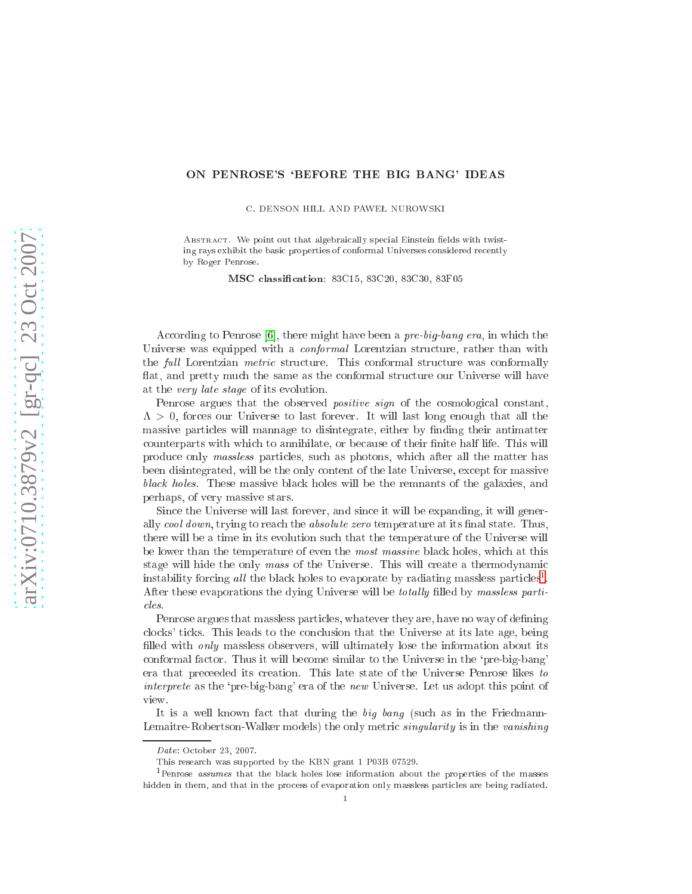## ON PENROSE'S `BEFORE THE BIG BANG' IDEAS

C. DENSON HILL AND PAWEŁ NUROWSKI

ABSTRACT. We point out that algebraically special Einstein fields with twisting rays exhibit the basic properties of conformal Universes considered recently by Roger Penrose.

MSC lassi
ation: 83C15, 83C20, 83C30, 83F05

According to Penrose [6], there might have been a *pre-big-bang era*, in which the Universe was equipped with a *conformal* Lorentzian structure, rather than with the full Lorentzian *metric* structure. This conformal structure was conformally flat, and pretty much the same as the conformal structure our Universe will have at the very late stage of its evolution.

Penrose argues that the observed *positive sign* of the cosmological constant,  $\Lambda > 0$ , forces our Universe to last forever. It will last long enough that all the massive particles will mannage to disintegrate, either by finding their antimatter ounterparts with whi
h to annihilate, or be
ause of their nite half life. This will produ
e only massless parti
les, su
h as photons, whi
h after all the matter has been disintegrated, will be the only ontent of the late Universe, ex
ept for massive bla
k holes. These massive bla
k holes will be the remnants of the galaxies, and perhaps, of very massive stars.

Sin
e the Universe will last forever, and sin
e it will be expanding, it will generally cool down, trying to reach the absolute zero temperature at its final state. Thus, there will be a time in its evolution such that the temperature of the Universe will be lower than the temperature of even the *most massive* black holes, which at this stage will hide the only  $mass$  of the Universe. This will create a thermodynamic instability forcing all the black holes to evaporate by radiating massless particles<sup>[1](#page-0-0)</sup>. After these evaporations the dying Universe will be *totally* filled by massless partiles.

Penrose argues that massless particles, whatever they are, have no way of defining clocks' ticks. This leads to the conclusion that the Universe at its late age, being filled with *only* massless observers, will ultimately lose the information about its onformal fa
tor. Thus it will be
ome similar to the Universe in the `pre-big-bang' era that pre
eeded its reation. This late state of the Universe Penrose likes to interprete as the 'pre-big-bang' era of the new Universe. Let us adopt this point of view.

It is a well known fact that during the *big bang* (such as in the Friedmann-Lemaitre-Robertson-Walker models) the only metric *singularity* is in the *vanishing* 

Date: October 23, 2007.

<span id="page-0-0"></span>This resear
h was supported by the KBN grant 1 P03B 07529.

<sup>&</sup>lt;sup>1</sup>Penrose *assumes* that the black holes lose information about the properties of the masses hidden in them, and that in the process of evaporation only massless particles are being radiated.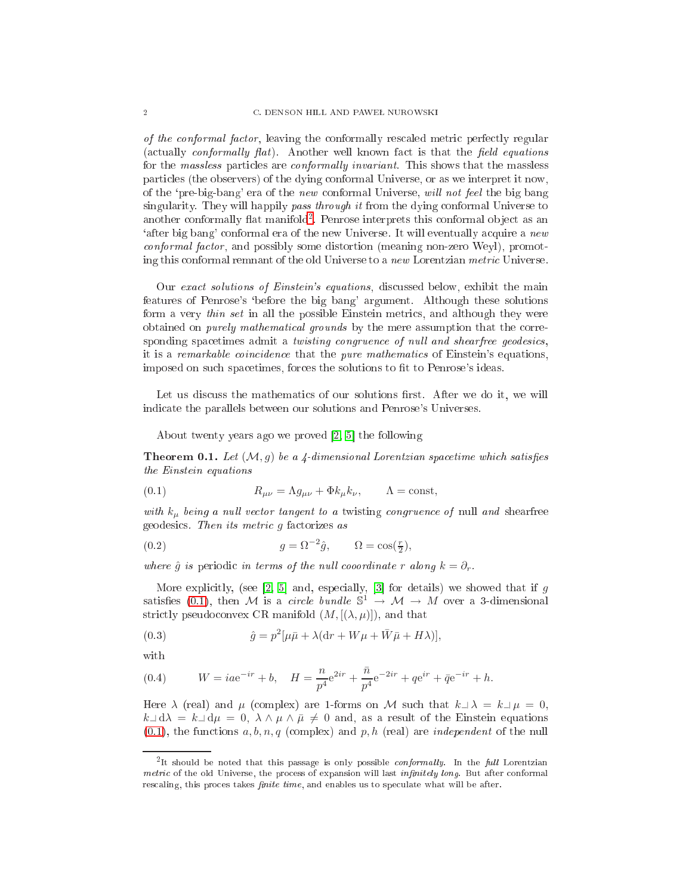of the conformal factor is allowed the complete metric metric metric perfection and  $\alpha$ (actually *conformally flat*). Another well known fact is that the *field equations* for the *massless* particles are *conformally invariant*. This shows that the massless parti
les (the observers) of the dying onformal Universe, or as we interpret it now, of the 'pre-big-bang' era of the new conformal Universe, will not feel the big bang singularity. They will happily pass through it from the dying conformal Universe to another conformally flat manifold<sup>[2](#page-1-0)</sup>. Penrose interprets this conformal object as an 'after big bang' conformal era of the new Universe. It will eventually acquire a new onformal fa
tor, and possibly some distortion (meaning non-zero Weyl), promoting this conformal remnant of the old Universe to a new Lorentzian metric Universe.

Our exact solutions of Einstein's equations, discussed below, exhibit the main features of Penrose's `before the big bang' argument. Although these solutions form a very *thin set* in all the possible Einstein metrics, and although they were obtained on *purely mathematical grounds* by the mere assumption that the corresponding spacetimes admit a *twisting congruence of null and shearfree geodesics*, it is a remarkable coincidence that the pure mathematics of Einstein's equations, imposed on such spacetimes, forces the solutions to fit to Penrose's ideas.

Let us discuss the mathematics of our solutions first. After we do it, we will indi
ate the parallels between our solutions and Penrose's Universes.

About twenty years ago we proved  $[2, 5]$  $[2, 5]$  the following

**Theorem 0.1.** Let  $(M, g)$  be a 4-dimensional Lorentzian spacetime which satisfies the Einstein equations

<span id="page-1-1"></span>(0.1) 
$$
R_{\mu\nu} = \Lambda g_{\mu\nu} + \Phi k_{\mu} k_{\nu}, \qquad \Lambda = \text{const},
$$

with  $k_{\mu}$  being a null vector tangent to a twisting congruence of null and shearfree geodesics. Then its metric q factorizes as

<span id="page-1-2"></span>(0.2) 
$$
g = \Omega^{-2} \hat{g}, \qquad \Omega = \cos(\frac{r}{2}),
$$

where  $\hat{g}$  is periodic in terms of the null cooordinate r along  $k = \partial_r$ .

More explicitly, (see [\[2,](#page-4-1) 5] and, especially, [3] for details) we showed that if g satisfies [\(0.1\)](#page-1-1), then M is a circle bundle  $\mathbb{S}^1 \to \mathcal{M} \to M$  over a 3-dimensional strictly pseudoconvex CR manifold  $(M, [(\lambda, \mu)])$ , and that

<span id="page-1-3"></span>(0.3) 
$$
\hat{g} = p^2[\mu \bar{\mu} + \lambda(\mathrm{d}r + W\mu + \bar{W}\bar{\mu} + H\lambda)],
$$

with

<span id="page-1-4"></span>(0.4) 
$$
W = iae^{-ir} + b, \quad H = \frac{n}{p^4}e^{2ir} + \frac{\bar{n}}{p^4}e^{-2ir} + qe^{ir} + \bar{q}e^{-ir} + h.
$$

Here  $\lambda$  (real) and  $\mu$  (complex) are 1-forms on M such that  $k\perp\lambda = k\perp\mu = 0$ ,  $k\Box d\lambda = k\Box d\mu = 0, \ \lambda \wedge \mu \wedge \bar{\mu} \neq 0$  and, as a result of the Einstein equations  $(0.1)$ , the functions  $a, b, n, q$  (complex) and p, h (real) are *independent* of the null

<span id="page-1-0"></span><sup>&</sup>lt;sup>2</sup>It should be noted that this passage is only possible *conformally*. In the full Lorentzian metric of the old Universe, the process of expansion will last *infinitely long*. But after conformal rescaling, this proces takes *finite time*, and enables us to speculate what will be after.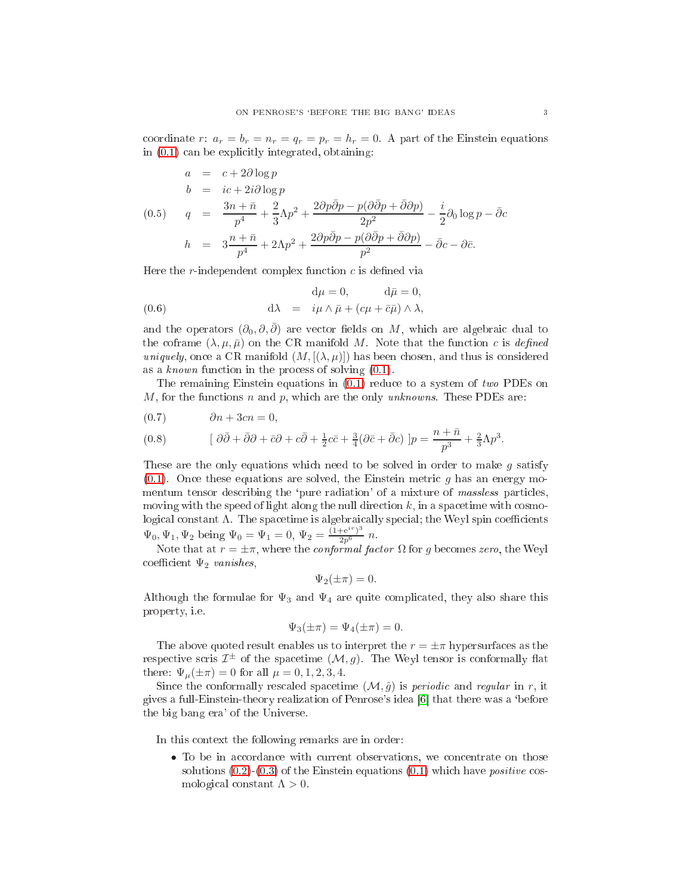coordinate r:  $a_r = b_r = n_r = q_r = p_r = h_r = 0$ . A part of the Einstein equations in  $(0.1)$  can be explicitly integrated, obtaining:

<span id="page-2-2"></span>
$$
a = c + 2\partial \log p
$$
  
\n
$$
b = ic + 2i\partial \log p
$$
  
\n
$$
q = \frac{3n + \bar{n}}{p^4} + \frac{2}{3}\Lambda p^2 + \frac{2\partial p\bar{\partial}p - p(\partial \bar{\partial}p + \bar{\partial}\partial p)}{2p^2} - \frac{i}{2}\partial_0 \log p - \bar{\partial}c
$$
  
\n
$$
h = 3\frac{n + \bar{n}}{p^4} + 2\Lambda p^2 + \frac{2\partial p\bar{\partial}p - p(\partial \bar{\partial}p + \bar{\partial}\partial p)}{p^2} - \bar{\partial}c - \partial \bar{c}.
$$

Here the r-independent complex function  $c$  is defined via

<span id="page-2-1"></span>(0.6) 
$$
d\mu = 0, \qquad d\bar{\mu} = 0,
$$

$$
d\lambda = i\mu \wedge \bar{\mu} + (c\mu + \bar{c}\bar{\mu}) \wedge \lambda,
$$

and the operators  $(\partial_0, \partial, \overline{\partial})$  are vector fields on M, which are algebraic dual to the coframe  $(\lambda, \mu, \bar{\mu})$  on the CR manifold M. Note that the function c is defined uniquely, once a CR manifold  $(M, [(\lambda, \mu)])$  has been chosen, and thus is considered as a known function in the process of solving  $(0.1)$ .

The remaining Einstein equations in [\(0.1\)](#page-1-1) redu
e to a system of two PDEs on M, for the functions n and p, which are the only unknowns. These PDEs are:

<span id="page-2-0"></span>
$$
(0.7) \qquad \partial n + 3cn = 0,
$$

(0.8) 
$$
[\partial \bar{\partial} + \bar{\partial} \partial + \bar{c} \partial + c \bar{\partial} + \frac{1}{2} c \bar{c} + \frac{3}{4} (\partial \bar{c} + \bar{\partial} c) ] p = \frac{n + \bar{n}}{p^3} + \frac{2}{3} \Lambda p^3.
$$

These are the only equations which need to be solved in order to make  $g$  satisfy  $(0.1)$ . Once these equations are solved, the Einstein metric g has an energy momentum tensor describing the 'pure radiation' of a mixture of massless particles, moving with the speed of light along the null direction  $k$ , in a spacetime with cosmological constant  $\Lambda$ . The spacetime is algebraically special; the Weyl spin coefficients  $\Psi_0, \Psi_1, \Psi_2$  being  $\Psi_0 = \Psi_1 = 0, \Psi_2 = \frac{(1 + e^{i r})^3}{2p^6} n$ .

Note that at  $r = \pm \pi$ , where the *conformal factor*  $\Omega$  for g becomes zero, the Weyl coefficient  $\Psi_2$  vanishes,

$$
\Psi_2(\pm \pi) = 0.
$$

Although the formulae for  $\Psi_3$  and  $\Psi_4$  are quite complicated, they also share this property, i.e.

$$
\Psi_3(\pm \pi) = \Psi_4(\pm \pi) = 0.
$$

The above quoted result enables us to interpret the  $r = \pm \pi$  hypersurfaces as the respective scris  $\mathcal{I}^{\pm}$  of the spacetime  $(\mathcal{M}, g)$ . The Weyl tensor is conformally flat there:  $\Psi_{\mu}(\pm \pi) = 0$  for all  $\mu = 0, 1, 2, 3, 4$ .

Since the conformally rescaled spacetime  $(M, \hat{g})$  is *periodic* and *regular* in r, it gives a full-Einstein-theory realization of Penrose's idea  $[6]$  that there was a 'before the big bang era' of the Universe.

In this ontext the following remarks are in order:

• To be in accordance with current observations, we concentrate on those solutions  $(0.2)$ - $(0.3)$  of the Einstein equations  $(0.1)$  which have *positive* cosmological constant  $\Lambda > 0$ .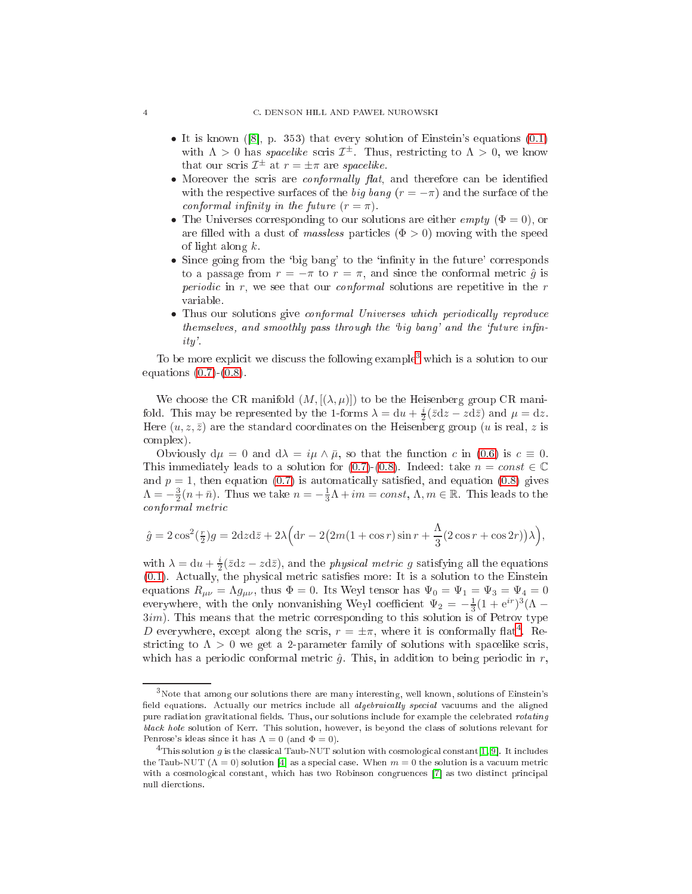- It is known ([8], p. 353) that every solution of Einstein's equations  $(0.1)$ with  $\Lambda > 0$  has *spacelike* scris  $\mathcal{I}^{\pm}$ . Thus, restricting to  $\Lambda > 0$ , we know that our scris  $\mathcal{I}^{\pm}$  at  $r = \pm \pi$  are spacelike.
- Moreover the scris are *conformally flat*, and therefore can be identified with the respective surfaces of the big bang  $(r = -\pi)$  and the surface of the conformal infinity in the future  $(r = \pi)$ .
- The Universes corresponding to our solutions are either *empty* ( $\Phi = 0$ ), or are filled with a dust of massless particles  $(\Phi > 0)$  moving with the speed of light along k.
- Since going from the 'big bang' to the 'infinity in the future' corresponds to a passage from  $r = -\pi$  to  $r = \pi$ , and since the conformal metric  $\hat{q}$  is *periodic* in  $r$ , we see that our *conformal* solutions are repetitive in the  $r$ variable.
- Thus our solutions give conformal Universes which periodically reproduce themselves, and smoothly pass through the 'big bang' and the 'future infinity'.

To be more explicit we discuss the following example<sup>[3](#page-3-0)</sup> which is a solution to our equations  $(0.7)-(0.8)$  $(0.7)-(0.8)$  $(0.7)-(0.8)$ .

We choose the CR manifold  $(M, [(\lambda, \mu)])$  to be the Heisenberg group CR manifold. This may be represented by the 1-forms  $\lambda = du + \frac{i}{2}(\bar{z}dz - zd\bar{z})$  and  $\mu = dz$ . Here  $(u, z, \bar{z})$  are the standard coordinates on the Heisenberg group (u is real, z is omplex).

Obviously  $d\mu = 0$  and  $d\lambda = i\mu \wedge \bar{\mu}$ , so that the function c in [\(0.6\)](#page-2-1) is  $c \equiv 0$ . This immediately leads to a solution for [\(0.7\)](#page-2-0)-[\(0.8\)](#page-2-0). Indeed: take  $n = const \in \mathbb{C}$ and  $p = 1$ , then equation [\(0.7\)](#page-2-0) is automatically satisfied, and equation [\(0.8\)](#page-2-0) gives  $\Lambda = -\frac{3}{2}(n+\bar{n})$ . Thus we take  $n = -\frac{1}{3}\Lambda + im = const$ ,  $\Lambda, m \in \mathbb{R}$ . This leads to the onformal metric metric metric metric metallisis on the control of the control of the control of the control of

$$
\hat{g} = 2\cos^2(\frac{r}{2})g = 2dzd\bar{z} + 2\lambda\Big(dr - 2\big(2m(1 + \cos r)\sin r + \frac{\Lambda}{3}\big(2\cos r + \cos 2r\big)\big)\lambda\Big),\,
$$

with  $\lambda = du + \frac{i}{2}(\bar{z}dz - zd\bar{z})$ , and the *physical metric g* satisfying all the equations  $(0.1)$ . Actually, the physical metric satisfies more: It is a solution to the Einstein equations  $R_{\mu\nu} = \Lambda g_{\mu\nu}$ , thus  $\Phi = 0$ . Its Weyl tensor has  $\Psi_0 = \Psi_1 = \Psi_3 = \Psi_4 = 0$ everywhere, with the only nonvanishing Weyl coefficient  $\Psi_2 = -\frac{1}{3}(1 + e^{ir})^3(\Lambda 3im$ ). This means that the metric corresponding to this solution is of Petrov type D everywhere, except along the scris,  $r = \pm \pi$ , where it is conformally flat<sup>[4](#page-3-1)</sup>. Restricting to  $\Lambda > 0$  we get a 2-parameter family of solutions with spacelike scris, which has a periodic conformal metric  $\hat{g}$ . This, in addition to being periodic in r,

<span id="page-3-0"></span><sup>3</sup>Note that among our solutions there are many interesting, well known, solutions of Einstein's field equations. Actually our metrics include all *algebraically special* vacuums and the aligned pure radiation gravitational fields. Thus, our solutions include for example the celebrated *rotating* bla
k hole solution of Kerr. This solution, however, is beyond the lass of solutions relevant for Penrose's ideas since it has  $\Lambda = 0$  (and  $\Phi = 0$ ).

<span id="page-3-1"></span> $^4{\rm This}$  solution  $g$  is the classical Taub-NUT solution with cosmological constant[\[1,](#page-4-5) 9]. It includes the Taub-NUT ( $\Lambda = 0$ ) solution [4] as a special case. When  $m = 0$  the solution is a vacuum metric with a cosmological constant, which has two Robinson congruences [7] as two distinct principal null dier
tions.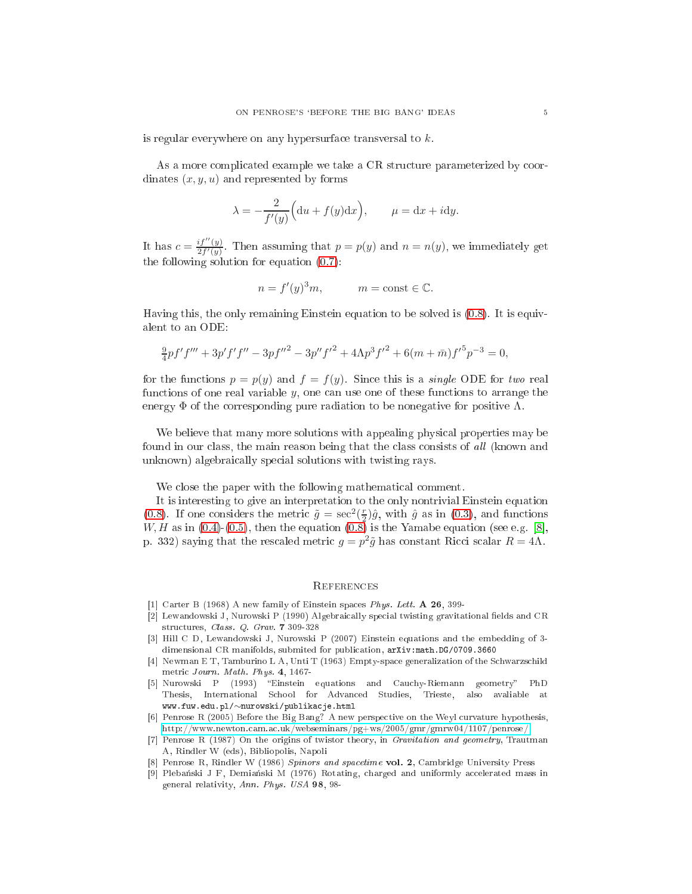is regular everywhere on any hypersurfa
e transversal to k.

As a more complicated example we take a CR structure parameterized by coordinates  $(x, y, u)$  and represented by forms

$$
\lambda = -\frac{2}{f'(y)} \Big( \mathrm{d}u + f(y) \mathrm{d}x \Big), \qquad \mu = \mathrm{d}x + i \mathrm{d}y.
$$

It has  $c = \frac{if''(y)}{2f'(y)}$  $\frac{y_1(y)}{2f'(y)}$ . Then assuming that  $p = p(y)$  and  $n = n(y)$ , we immediately get the following solution for equation [\(0.7\)](#page-2-0):

$$
n = f'(y)^3 m, \qquad m = \text{const} \in \mathbb{C}.
$$

Having this, the only remaining Einstein equation to be solved is [\(0.8\)](#page-2-0). It is equivalent to an ODE:

$$
\frac{9}{4}pf'f''' + 3p'f'f'' - 3pf''^{2} - 3p''f'^{2} + 4\Lambda p^{3}f'^{2} + 6(m + \bar{m})f'^{5}p^{-3} = 0,
$$

for the functions  $p = p(y)$  and  $f = f(y)$ . Since this is a *single* ODE for two real functions of one real variable  $y$ , one can use one of these functions to arrange the energy  $\Phi$  of the corresponding pure radiation to be nonegative for positive  $\Lambda$ .

We believe that many more solutions with appealing physical properties may be found in our class, the main reason being that the class consists of all (known and unknown) algebraically special solutions with twisting rays.

We close the paper with the following mathematical comment.

It is interesting to give an interpretation to the only nontrivial Einstein equation [\(0.8\)](#page-2-0). If one considers the metric  $\tilde{g} = \sec^2(\frac{r}{2})\hat{g}$ , with  $\hat{g}$  as in [\(0.3\)](#page-1-3), and functions  $W, H$  as in [\(0.4\)](#page-1-4)-[\(0.5\)](#page-2-2), then the equation [\(0.8\)](#page-2-0) is the Yamabe equation (see e.g. [8], p. 332) saying that the rescaled metric  $g = p^2 \tilde{g}$  has constant Ricci scalar  $R = 4\Lambda$ .

## **REFERENCES**

- <span id="page-4-5"></span><span id="page-4-1"></span>[1] Carter B (1968) A new family of Einstein spaces  $Phys. Lett. A 26, 399-$
- [2] Lewandowski J, Nurowski P (1990) Algebraically special twisting gravitational fields and CR stru
tures, Class. Q. Grav. 7 309-328
- <span id="page-4-3"></span>[3] Hill C D, Lewandowski J, Nurowski P (2007) Einstein equations and the embedding of 3dimensional CR manifolds, submited for publication, arXiv:math.DG/0709.3660
- <span id="page-4-7"></span>[4] Newman E T, Tamburino L A, Unti T (1963) Empty-space generalization of the Schwarzschild metri Journ. Math. Phys. 4, 1467-
- <span id="page-4-2"></span>[5] Nurowski P (1993) "Einstein equations and Cauchy-Riemann geometry" PhD Thesis, International S
hool for Advan
ed Studies, Trieste, also avaliable at www.fuw.edu.pl/∼nurowski/publika
je.html
- <span id="page-4-0"></span>[6] Penrose R (2005) Before the Big Bang? A new perspective on the Weyl curvature hypothesis, [http://www.newton.
am.a
.uk/webseminars/pg+ws/2005/gmr/gmrw04/1107/penrose/](http://www.newton.cam.ac.uk/webseminars/pg+ws/2005/gmr/gmrw04/1107/penrose/)
- <span id="page-4-8"></span>[7] Penrose R (1987) On the origins of twistor theory, in Gravitation and geometry, Trautman A, Rindler W (eds), Bibliopolis, Napoli
- <span id="page-4-6"></span><span id="page-4-4"></span>Penrose R, Rindler W (1986) Spinors and spacetime vol. 2, Cambridge University Press
- [9] Plebański J F, Demiański M (1976) Rotating, charged and uniformly accelerated mass in general relativity, Ann. Phys. USA 98, 98-